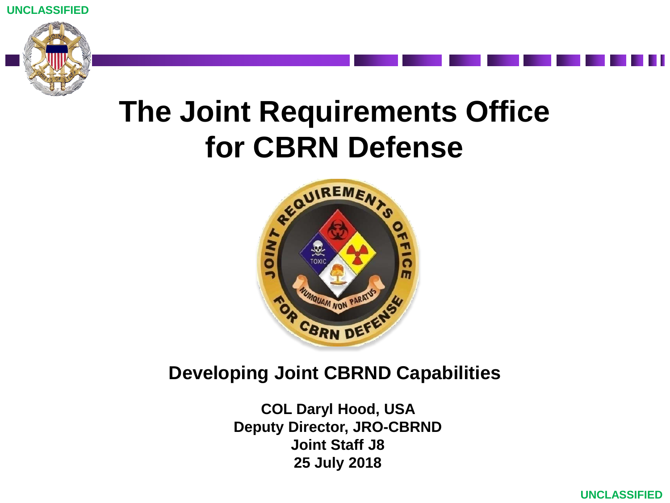



# **The Joint Requirements Office for CBRN Defense**



#### **Developing Joint CBRND Capabilities**

**COL Daryl Hood, USA Deputy Director, JRO-CBRND Joint Staff J8 25 July 2018**

**UNCLASSIFIED**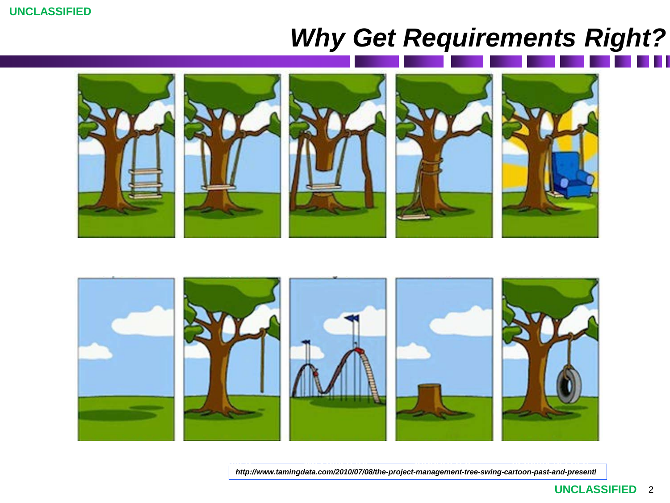# *Why Get Requirements Right?*





**installed**

*http://www.tamingdata.com/2010/07/08/the-project-management-tree-swing-cartoon-past-and-present***/**

**was billed for supported it actually needed**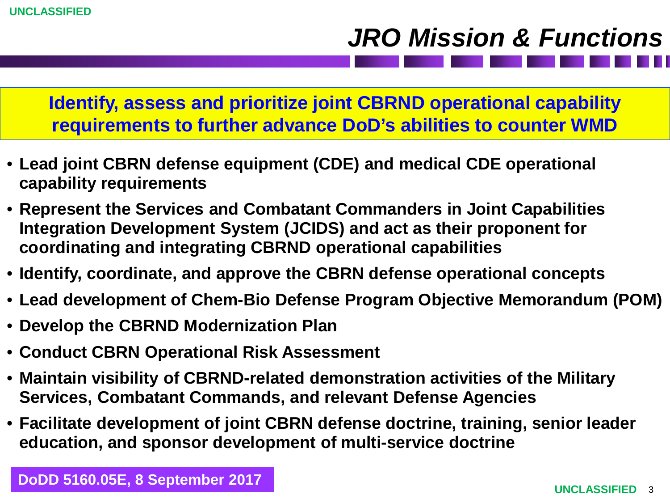## *JRO Mission & Functions*

**Identify, assess and prioritize joint CBRND operational capability requirements to further advance DoD's abilities to counter WMD**

- **Lead joint CBRN defense equipment (CDE) and medical CDE operational capability requirements**
- **Represent the Services and Combatant Commanders in Joint Capabilities Integration Development System (JCIDS) and act as their proponent for coordinating and integrating CBRND operational capabilities**
- **Identify, coordinate, and approve the CBRN defense operational concepts**
- **Lead development of Chem-Bio Defense Program Objective Memorandum (POM)**
- **Develop the CBRND Modernization Plan**
- **Conduct CBRN Operational Risk Assessment**
- **Maintain visibility of CBRND-related demonstration activities of the Military Services, Combatant Commands, and relevant Defense Agencies**
- **Facilitate development of joint CBRN defense doctrine, training, senior leader education, and sponsor development of multi-service doctrine**

**DoDD 5160.05E, 8 September 2017**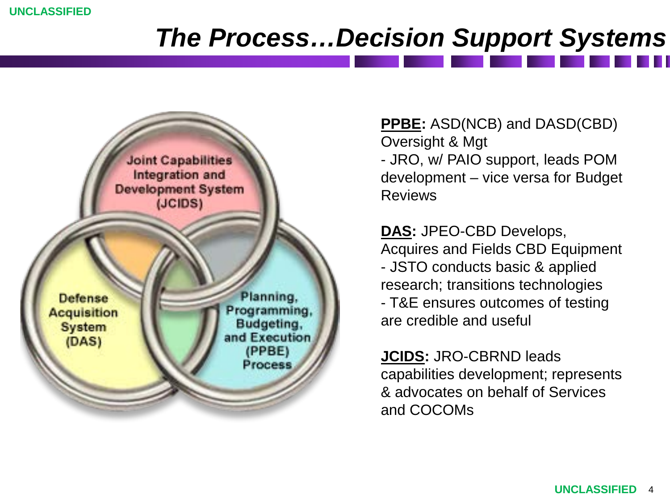**UNCLASSIFIED**

## *The Process…Decision Support Systems*



**PPBE:** ASD(NCB) and DASD(CBD) Oversight & Mgt - JRO, w/ PAIO support, leads POM development – vice versa for Budget Reviews

**DAS:** JPEO-CBD Develops, Acquires and Fields CBD Equipment - JSTO conducts basic & applied research; transitions technologies - T&E ensures outcomes of testing are credible and useful

**JCIDS:** JRO-CBRND leads capabilities development; represents & advocates on behalf of Services and COCOMs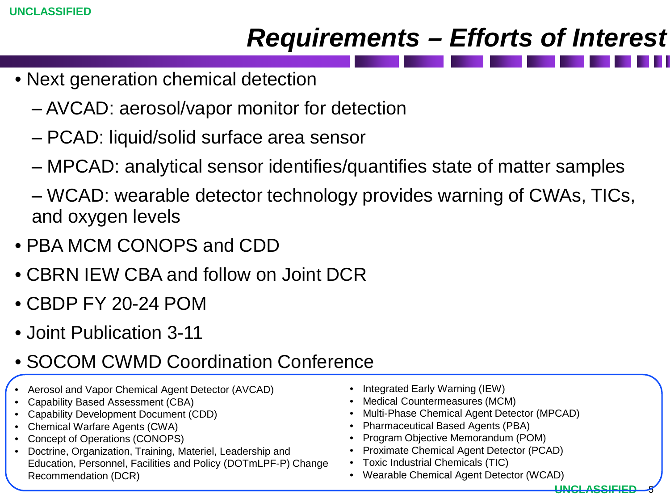### *Requirements – Efforts of Interest*

- Next generation chemical detection
	- ‒ AVCAD: aerosol/vapor monitor for detection
	- ‒ PCAD: liquid/solid surface area sensor
	- ‒ MPCAD: analytical sensor identifies/quantifies state of matter samples
	- ‒ WCAD: wearable detector technology provides warning of CWAs, TICs, and oxygen levels
- PBA MCM CONOPS and CDD
- CBRN IEW CBA and follow on Joint DCR
- CBDP FY 20-24 POM
- Joint Publication 3-11
- SOCOM CWMD Coordination Conference
- Aerosol and Vapor Chemical Agent Detector (AVCAD)
- Capability Based Assessment (CBA)
- Capability Development Document (CDD)
- Chemical Warfare Agents (CWA)
- Concept of Operations (CONOPS)
- Doctrine, Organization, Training, Materiel, Leadership and Education, Personnel, Facilities and Policy (DOTmLPF-P) Change Recommendation (DCR)
- Integrated Early Warning (IEW)
- Medical Countermeasures (MCM)
- Multi-Phase Chemical Agent Detector (MPCAD)
- Pharmaceutical Based Agents (PBA)
- Program Objective Memorandum (POM)
- Proximate Chemical Agent Detector (PCAD)
- Toxic Industrial Chemicals (TIC)
- Wearable Chemical Agent Detector (WCAD)

<u>UNCLASSIE</u>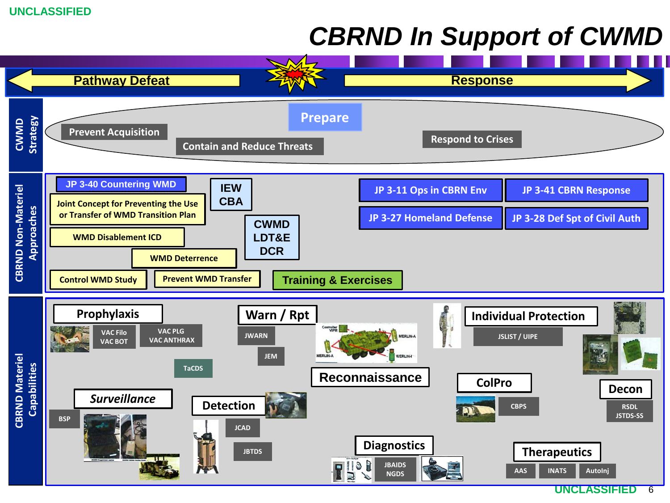## *CBRND In Support of CWMD*

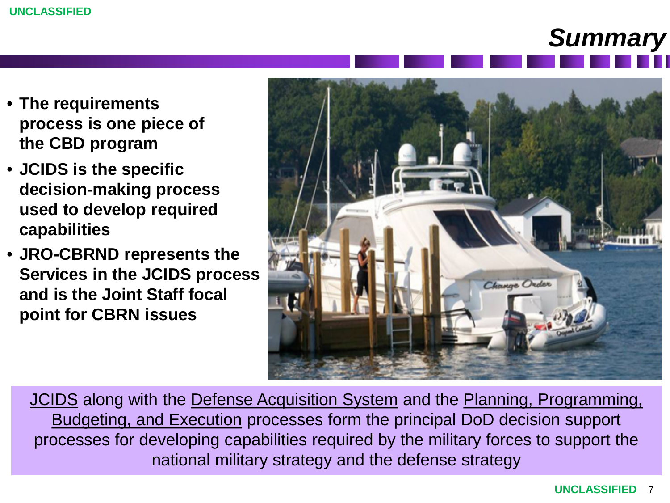

- **The requirements process is one piece of the CBD program**
- **JCIDS is the specific decision-making process used to develop required capabilities**
- **JRO-CBRND represents the Services in the JCIDS process and is the Joint Staff focal point for CBRN issues**



JCIDS along with the Defense Acquisition System and the Planning, Programming, Budgeting, and Execution processes form the principal DoD decision support processes for developing capabilities required by the military forces to support the national military strategy and the defense strategy